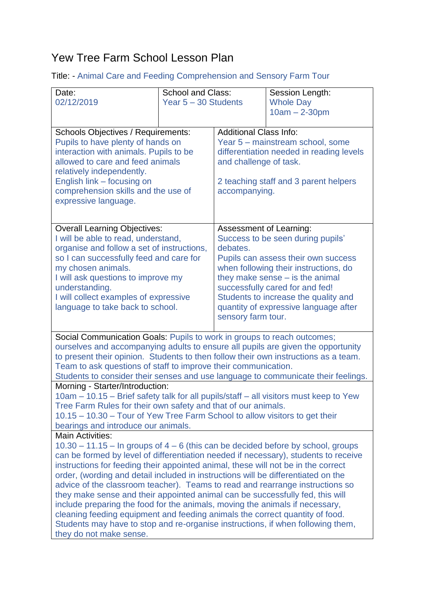## Yew Tree Farm School Lesson Plan

Title: - Animal Care and Feeding Comprehension and Sensory Farm Tour

| Date:                                                                                                                                                                        | <b>School and Class:</b> |                                                                    | Session Length:                       |  |
|------------------------------------------------------------------------------------------------------------------------------------------------------------------------------|--------------------------|--------------------------------------------------------------------|---------------------------------------|--|
| 02/12/2019                                                                                                                                                                   | Year 5 - 30 Students     |                                                                    | <b>Whole Day</b>                      |  |
|                                                                                                                                                                              |                          |                                                                    | $10am - 2-30pm$                       |  |
| <b>Schools Objectives / Requirements:</b>                                                                                                                                    |                          | <b>Additional Class Info:</b>                                      |                                       |  |
| Pupils to have plenty of hands on                                                                                                                                            |                          | Year 5 - mainstream school, some                                   |                                       |  |
| interaction with animals. Pupils to be<br>allowed to care and feed animals                                                                                                   |                          | differentiation needed in reading levels<br>and challenge of task. |                                       |  |
| relatively independently.                                                                                                                                                    |                          |                                                                    |                                       |  |
| English link - focusing on                                                                                                                                                   |                          | 2 teaching staff and 3 parent helpers                              |                                       |  |
| comprehension skills and the use of                                                                                                                                          |                          | accompanying.                                                      |                                       |  |
| expressive language.                                                                                                                                                         |                          |                                                                    |                                       |  |
|                                                                                                                                                                              |                          |                                                                    |                                       |  |
| <b>Overall Learning Objectives:</b><br>I will be able to read, understand,                                                                                                   |                          | Assessment of Learning:<br>Success to be seen during pupils'       |                                       |  |
| organise and follow a set of instructions,                                                                                                                                   |                          | debates.                                                           |                                       |  |
| so I can successfully feed and care for                                                                                                                                      |                          | Pupils can assess their own success                                |                                       |  |
| my chosen animals.                                                                                                                                                           |                          | when following their instructions, do                              |                                       |  |
| I will ask questions to improve my<br>understanding.                                                                                                                         |                          | they make sense – is the animal<br>successfully cared for and fed! |                                       |  |
| I will collect examples of expressive                                                                                                                                        |                          | Students to increase the quality and                               |                                       |  |
| language to take back to school.                                                                                                                                             |                          |                                                                    | quantity of expressive language after |  |
|                                                                                                                                                                              |                          | sensory farm tour.                                                 |                                       |  |
| Social Communication Goals: Pupils to work in groups to reach outcomes;                                                                                                      |                          |                                                                    |                                       |  |
| ourselves and accompanying adults to ensure all pupils are given the opportunity                                                                                             |                          |                                                                    |                                       |  |
| to present their opinion. Students to then follow their own instructions as a team.<br>Team to ask questions of staff to improve their communication.                        |                          |                                                                    |                                       |  |
| Students to consider their senses and use language to communicate their feelings.                                                                                            |                          |                                                                    |                                       |  |
| Morning - Starter/Introduction:                                                                                                                                              |                          |                                                                    |                                       |  |
| 10am – 10.15 – Brief safety talk for all pupils/staff – all visitors must keep to Yew                                                                                        |                          |                                                                    |                                       |  |
| Tree Farm Rules for their own safety and that of our animals.<br>10.15 – 10.30 – Tour of Yew Tree Farm School to allow visitors to get their                                 |                          |                                                                    |                                       |  |
| bearings and introduce our animals.                                                                                                                                          |                          |                                                                    |                                       |  |
| <b>Main Activities:</b>                                                                                                                                                      |                          |                                                                    |                                       |  |
| $10.30 - 11.15 - \ln$ groups of $4 - 6$ (this can be decided before by school, groups<br>can be formed by level of differentiation needed if necessary), students to receive |                          |                                                                    |                                       |  |
| instructions for feeding their appointed animal, these will not be in the correct                                                                                            |                          |                                                                    |                                       |  |
| order, (wording and detail included in instructions will be differentiated on the                                                                                            |                          |                                                                    |                                       |  |
| advice of the classroom teacher). Teams to read and rearrange instructions so<br>they make sense and their appointed animal can be successfully fed, this will               |                          |                                                                    |                                       |  |
| include preparing the food for the animals, moving the animals if necessary,                                                                                                 |                          |                                                                    |                                       |  |
| cleaning feeding equipment and feeding animals the correct quantity of food.                                                                                                 |                          |                                                                    |                                       |  |
| Students may have to stop and re-organise instructions, if when following them,                                                                                              |                          |                                                                    |                                       |  |
| they do not make sense.                                                                                                                                                      |                          |                                                                    |                                       |  |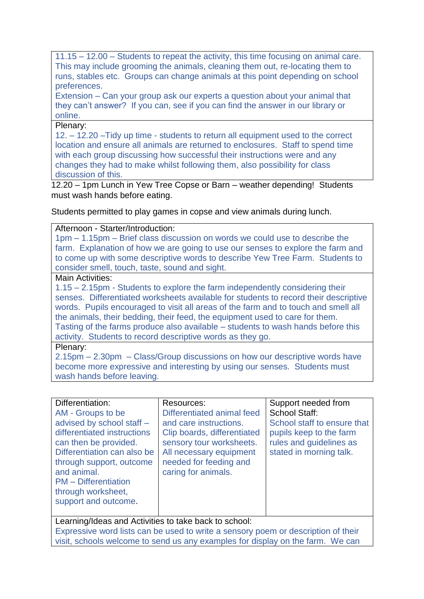11.15 – 12.00 – Students to repeat the activity, this time focusing on animal care. This may include grooming the animals, cleaning them out, re-locating them to runs, stables etc. Groups can change animals at this point depending on school preferences.

Extension – Can your group ask our experts a question about your animal that they can't answer? If you can, see if you can find the answer in our library or online.

## Plenary:

12. – 12.20 –Tidy up time - students to return all equipment used to the correct location and ensure all animals are returned to enclosures. Staff to spend time with each group discussing how successful their instructions were and any changes they had to make whilst following them, also possibility for class discussion of this.

12.20 – 1pm Lunch in Yew Tree Copse or Barn – weather depending! Students must wash hands before eating.

Students permitted to play games in copse and view animals during lunch.

## Afternoon - Starter/Introduction:

1pm – 1.15pm – Brief class discussion on words we could use to describe the farm. Explanation of how we are going to use our senses to explore the farm and to come up with some descriptive words to describe Yew Tree Farm. Students to consider smell, touch, taste, sound and sight.

## Main Activities:

1.15 – 2.15pm - Students to explore the farm independently considering their senses. Differentiated worksheets available for students to record their descriptive words. Pupils encouraged to visit all areas of the farm and to touch and smell all the animals, their bedding, their feed, the equipment used to care for them. Tasting of the farms produce also available – students to wash hands before this activity. Students to record descriptive words as they go.

Plenary:

2.15pm – 2.30pm – Class/Group discussions on how our descriptive words have become more expressive and interesting by using our senses. Students must wash hands before leaving.

| Differentiation:<br>AM - Groups to be<br>advised by school staff -<br>differentiated instructions<br>can then be provided.<br>Differentiation can also be<br>through support, outcome<br>and animal.<br><b>PM</b> – Differentiation<br>through worksheet,<br>support and outcome. | Resources:<br>Differentiated animal feed<br>and care instructions.<br>Clip boards, differentiated<br>sensory tour worksheets.<br>All necessary equipment<br>needed for feeding and<br>caring for animals. | Support needed from<br><b>School Staff:</b><br>School staff to ensure that<br>pupils keep to the farm<br>rules and guidelines as<br>stated in morning talk. |
|-----------------------------------------------------------------------------------------------------------------------------------------------------------------------------------------------------------------------------------------------------------------------------------|-----------------------------------------------------------------------------------------------------------------------------------------------------------------------------------------------------------|-------------------------------------------------------------------------------------------------------------------------------------------------------------|
|                                                                                                                                                                                                                                                                                   |                                                                                                                                                                                                           |                                                                                                                                                             |

Learning/Ideas and Activities to take back to school: Expressive word lists can be used to write a sensory poem or description of their visit, schools welcome to send us any examples for display on the farm. We can